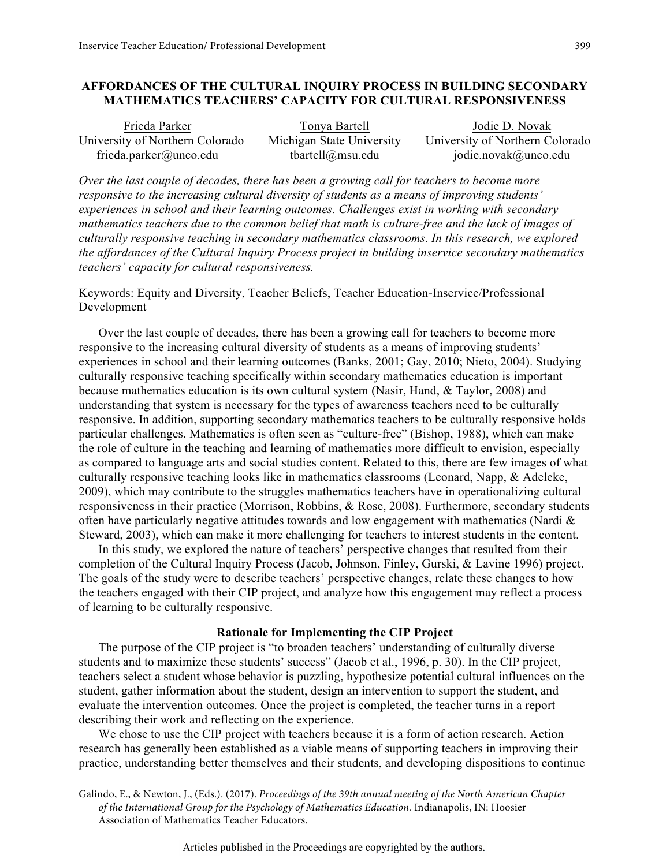## **AFFORDANCES OF THE CULTURAL INQUIRY PROCESS IN BUILDING SECONDARY MATHEMATICS TEACHERS' CAPACITY FOR CULTURAL RESPONSIVENESS**

| Frieda Parker                   | Tonya Bartell             | Jodie D. Novak                  |
|---------------------------------|---------------------------|---------------------------------|
| University of Northern Colorado | Michigan State University | University of Northern Colorado |
| frieda.parker@unco.edu          | tbartell@msu.edu          | jodie.novak@unco.edu            |

*Over the last couple of decades, there has been a growing call for teachers to become more responsive to the increasing cultural diversity of students as a means of improving students' experiences in school and their learning outcomes. Challenges exist in working with secondary mathematics teachers due to the common belief that math is culture-free and the lack of images of culturally responsive teaching in secondary mathematics classrooms. In this research, we explored the affordances of the Cultural Inquiry Process project in building inservice secondary mathematics teachers' capacity for cultural responsiveness.*

Keywords: Equity and Diversity, Teacher Beliefs, Teacher Education-Inservice/Professional Development

Over the last couple of decades, there has been a growing call for teachers to become more responsive to the increasing cultural diversity of students as a means of improving students' experiences in school and their learning outcomes (Banks, 2001; Gay, 2010; Nieto, 2004). Studying culturally responsive teaching specifically within secondary mathematics education is important because mathematics education is its own cultural system (Nasir, Hand, & Taylor, 2008) and understanding that system is necessary for the types of awareness teachers need to be culturally responsive. In addition, supporting secondary mathematics teachers to be culturally responsive holds particular challenges. Mathematics is often seen as "culture-free" (Bishop, 1988), which can make the role of culture in the teaching and learning of mathematics more difficult to envision, especially as compared to language arts and social studies content. Related to this, there are few images of what culturally responsive teaching looks like in mathematics classrooms (Leonard, Napp, & Adeleke, 2009), which may contribute to the struggles mathematics teachers have in operationalizing cultural responsiveness in their practice (Morrison, Robbins, & Rose, 2008). Furthermore, secondary students often have particularly negative attitudes towards and low engagement with mathematics (Nardi & Steward, 2003), which can make it more challenging for teachers to interest students in the content.

In this study, we explored the nature of teachers' perspective changes that resulted from their completion of the Cultural Inquiry Process (Jacob, Johnson, Finley, Gurski, & Lavine 1996) project. The goals of the study were to describe teachers' perspective changes, relate these changes to how the teachers engaged with their CIP project, and analyze how this engagement may reflect a process of learning to be culturally responsive.

### **Rationale for Implementing the CIP Project**

The purpose of the CIP project is "to broaden teachers' understanding of culturally diverse students and to maximize these students' success" (Jacob et al., 1996, p. 30). In the CIP project, teachers select a student whose behavior is puzzling, hypothesize potential cultural influences on the student, gather information about the student, design an intervention to support the student, and evaluate the intervention outcomes. Once the project is completed, the teacher turns in a report describing their work and reflecting on the experience.

We chose to use the CIP project with teachers because it is a form of action research. Action research has generally been established as a viable means of supporting teachers in improving their practice, understanding better themselves and their students, and developing dispositions to continue

Galindo, E., & Newton, J., (Eds.). (2017). *Proceedings of the 39th annual meeting of the North American Chapter of the International Group for the Psychology of Mathematics Education.* Indianapolis, IN: Hoosier Association of Mathematics Teacher Educators.

Articles published in the Proceedings are copyrighted by the authors.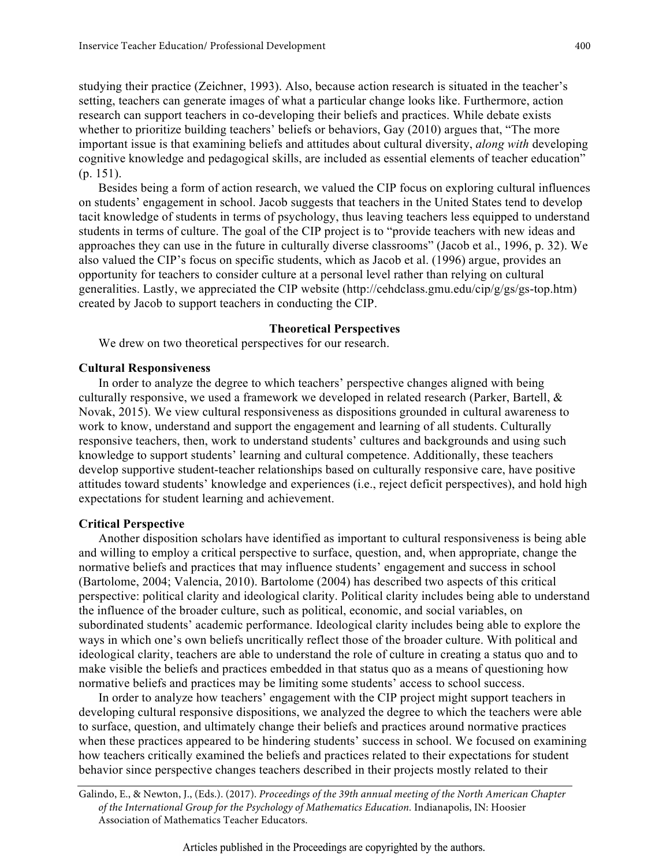studying their practice (Zeichner, 1993). Also, because action research is situated in the teacher's setting, teachers can generate images of what a particular change looks like. Furthermore, action research can support teachers in co-developing their beliefs and practices. While debate exists whether to prioritize building teachers' beliefs or behaviors, Gay (2010) argues that, "The more important issue is that examining beliefs and attitudes about cultural diversity, *along with* developing cognitive knowledge and pedagogical skills, are included as essential elements of teacher education" (p. 151).

Besides being a form of action research, we valued the CIP focus on exploring cultural influences on students' engagement in school. Jacob suggests that teachers in the United States tend to develop tacit knowledge of students in terms of psychology, thus leaving teachers less equipped to understand students in terms of culture. The goal of the CIP project is to "provide teachers with new ideas and approaches they can use in the future in culturally diverse classrooms" (Jacob et al., 1996, p. 32). We also valued the CIP's focus on specific students, which as Jacob et al. (1996) argue, provides an opportunity for teachers to consider culture at a personal level rather than relying on cultural generalities. Lastly, we appreciated the CIP website (http://cehdclass.gmu.edu/cip/g/gs/gs-top.htm) created by Jacob to support teachers in conducting the CIP.

#### **Theoretical Perspectives**

We drew on two theoretical perspectives for our research.

### **Cultural Responsiveness**

In order to analyze the degree to which teachers' perspective changes aligned with being culturally responsive, we used a framework we developed in related research (Parker, Bartell, & Novak, 2015). We view cultural responsiveness as dispositions grounded in cultural awareness to work to know, understand and support the engagement and learning of all students. Culturally responsive teachers, then, work to understand students' cultures and backgrounds and using such knowledge to support students' learning and cultural competence. Additionally, these teachers develop supportive student-teacher relationships based on culturally responsive care, have positive attitudes toward students' knowledge and experiences (i.e., reject deficit perspectives), and hold high expectations for student learning and achievement.

### **Critical Perspective**

Another disposition scholars have identified as important to cultural responsiveness is being able and willing to employ a critical perspective to surface, question, and, when appropriate, change the normative beliefs and practices that may influence students' engagement and success in school (Bartolome, 2004; Valencia, 2010). Bartolome (2004) has described two aspects of this critical perspective: political clarity and ideological clarity. Political clarity includes being able to understand the influence of the broader culture, such as political, economic, and social variables, on subordinated students' academic performance. Ideological clarity includes being able to explore the ways in which one's own beliefs uncritically reflect those of the broader culture. With political and ideological clarity, teachers are able to understand the role of culture in creating a status quo and to make visible the beliefs and practices embedded in that status quo as a means of questioning how normative beliefs and practices may be limiting some students' access to school success.

In order to analyze how teachers' engagement with the CIP project might support teachers in developing cultural responsive dispositions, we analyzed the degree to which the teachers were able to surface, question, and ultimately change their beliefs and practices around normative practices when these practices appeared to be hindering students' success in school. We focused on examining how teachers critically examined the beliefs and practices related to their expectations for student behavior since perspective changes teachers described in their projects mostly related to their

Galindo, E., & Newton, J., (Eds.). (2017). *Proceedings of the 39th annual meeting of the North American Chapter of the International Group for the Psychology of Mathematics Education.* Indianapolis, IN: Hoosier Association of Mathematics Teacher Educators.

400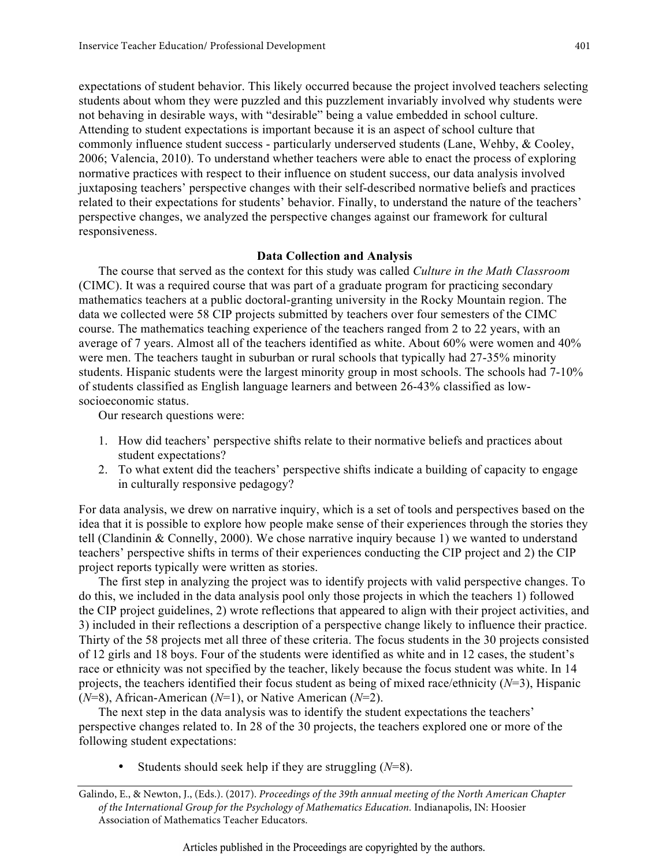expectations of student behavior. This likely occurred because the project involved teachers selecting students about whom they were puzzled and this puzzlement invariably involved why students were not behaving in desirable ways, with "desirable" being a value embedded in school culture. Attending to student expectations is important because it is an aspect of school culture that commonly influence student success - particularly underserved students (Lane, Wehby, & Cooley, 2006; Valencia, 2010). To understand whether teachers were able to enact the process of exploring normative practices with respect to their influence on student success, our data analysis involved juxtaposing teachers' perspective changes with their self-described normative beliefs and practices related to their expectations for students' behavior. Finally, to understand the nature of the teachers' perspective changes, we analyzed the perspective changes against our framework for cultural responsiveness.

### **Data Collection and Analysis**

The course that served as the context for this study was called *Culture in the Math Classroom* (CIMC). It was a required course that was part of a graduate program for practicing secondary mathematics teachers at a public doctoral-granting university in the Rocky Mountain region. The data we collected were 58 CIP projects submitted by teachers over four semesters of the CIMC course. The mathematics teaching experience of the teachers ranged from 2 to 22 years, with an average of 7 years. Almost all of the teachers identified as white. About 60% were women and 40% were men. The teachers taught in suburban or rural schools that typically had 27-35% minority students. Hispanic students were the largest minority group in most schools. The schools had 7-10% of students classified as English language learners and between 26-43% classified as lowsocioeconomic status.

Our research questions were:

- 1. How did teachers' perspective shifts relate to their normative beliefs and practices about student expectations?
- 2. To what extent did the teachers' perspective shifts indicate a building of capacity to engage in culturally responsive pedagogy?

For data analysis, we drew on narrative inquiry, which is a set of tools and perspectives based on the idea that it is possible to explore how people make sense of their experiences through the stories they tell (Clandinin & Connelly, 2000). We chose narrative inquiry because 1) we wanted to understand teachers' perspective shifts in terms of their experiences conducting the CIP project and 2) the CIP project reports typically were written as stories.

The first step in analyzing the project was to identify projects with valid perspective changes. To do this, we included in the data analysis pool only those projects in which the teachers 1) followed the CIP project guidelines, 2) wrote reflections that appeared to align with their project activities, and 3) included in their reflections a description of a perspective change likely to influence their practice. Thirty of the 58 projects met all three of these criteria. The focus students in the 30 projects consisted of 12 girls and 18 boys. Four of the students were identified as white and in 12 cases, the student's race or ethnicity was not specified by the teacher, likely because the focus student was white. In 14 projects, the teachers identified their focus student as being of mixed race/ethnicity (*N*=3), Hispanic (*N*=8), African-American (*N*=1), or Native American (*N*=2).

The next step in the data analysis was to identify the student expectations the teachers' perspective changes related to. In 28 of the 30 projects, the teachers explored one or more of the following student expectations:

• Students should seek help if they are struggling (*N*=8).

Galindo, E., & Newton, J., (Eds.). (2017). *Proceedings of the 39th annual meeting of the North American Chapter of the International Group for the Psychology of Mathematics Education.* Indianapolis, IN: Hoosier Association of Mathematics Teacher Educators.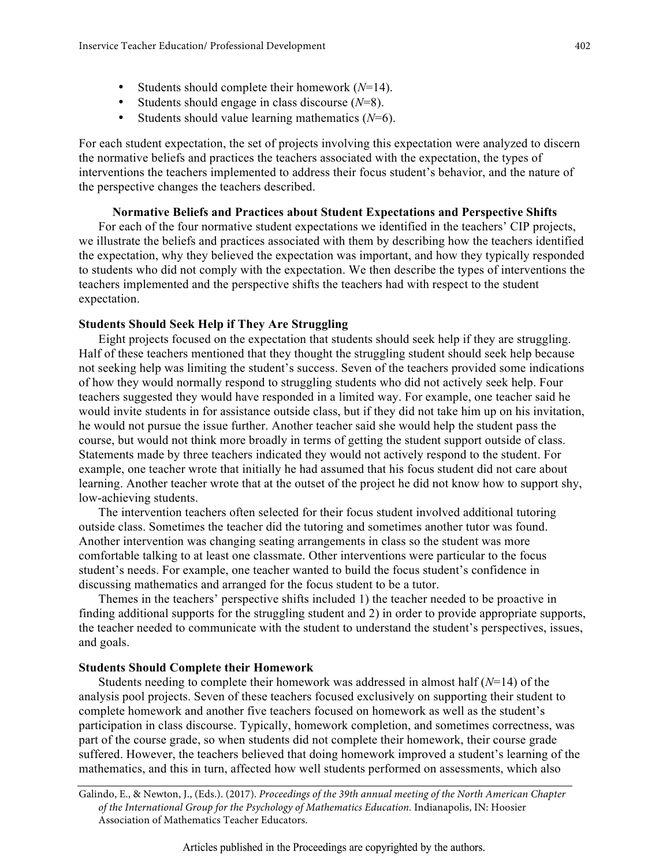- Students should complete their homework (*N*=14).
- Students should engage in class discourse (*N*=8).
- Students should value learning mathematics (*N*=6).

For each student expectation, the set of projects involving this expectation were analyzed to discern the normative beliefs and practices the teachers associated with the expectation, the types of interventions the teachers implemented to address their focus student's behavior, and the nature of the perspective changes the teachers described.

# **Normative Beliefs and Practices about Student Expectations and Perspective Shifts**

For each of the four normative student expectations we identified in the teachers' CIP projects, we illustrate the beliefs and practices associated with them by describing how the teachers identified the expectation, why they believed the expectation was important, and how they typically responded to students who did not comply with the expectation. We then describe the types of interventions the teachers implemented and the perspective shifts the teachers had with respect to the student expectation.

# **Students Should Seek Help if They Are Struggling**

Eight projects focused on the expectation that students should seek help if they are struggling. Half of these teachers mentioned that they thought the struggling student should seek help because not seeking help was limiting the student's success. Seven of the teachers provided some indications of how they would normally respond to struggling students who did not actively seek help. Four teachers suggested they would have responded in a limited way. For example, one teacher said he would invite students in for assistance outside class, but if they did not take him up on his invitation, he would not pursue the issue further. Another teacher said she would help the student pass the course, but would not think more broadly in terms of getting the student support outside of class. Statements made by three teachers indicated they would not actively respond to the student. For example, one teacher wrote that initially he had assumed that his focus student did not care about learning. Another teacher wrote that at the outset of the project he did not know how to support shy, low-achieving students.

The intervention teachers often selected for their focus student involved additional tutoring outside class. Sometimes the teacher did the tutoring and sometimes another tutor was found. Another intervention was changing seating arrangements in class so the student was more comfortable talking to at least one classmate. Other interventions were particular to the focus student's needs. For example, one teacher wanted to build the focus student's confidence in discussing mathematics and arranged for the focus student to be a tutor.

Themes in the teachers' perspective shifts included 1) the teacher needed to be proactive in finding additional supports for the struggling student and 2) in order to provide appropriate supports, the teacher needed to communicate with the student to understand the student's perspectives, issues, and goals.

## **Students Should Complete their Homework**

Students needing to complete their homework was addressed in almost half (*N*=14) of the analysis pool projects. Seven of these teachers focused exclusively on supporting their student to complete homework and another five teachers focused on homework as well as the student's participation in class discourse. Typically, homework completion, and sometimes correctness, was part of the course grade, so when students did not complete their homework, their course grade suffered. However, the teachers believed that doing homework improved a student's learning of the mathematics, and this in turn, affected how well students performed on assessments, which also

Galindo, E., & Newton, J., (Eds.). (2017). *Proceedings of the 39th annual meeting of the North American Chapter of the International Group for the Psychology of Mathematics Education.* Indianapolis, IN: Hoosier Association of Mathematics Teacher Educators.

402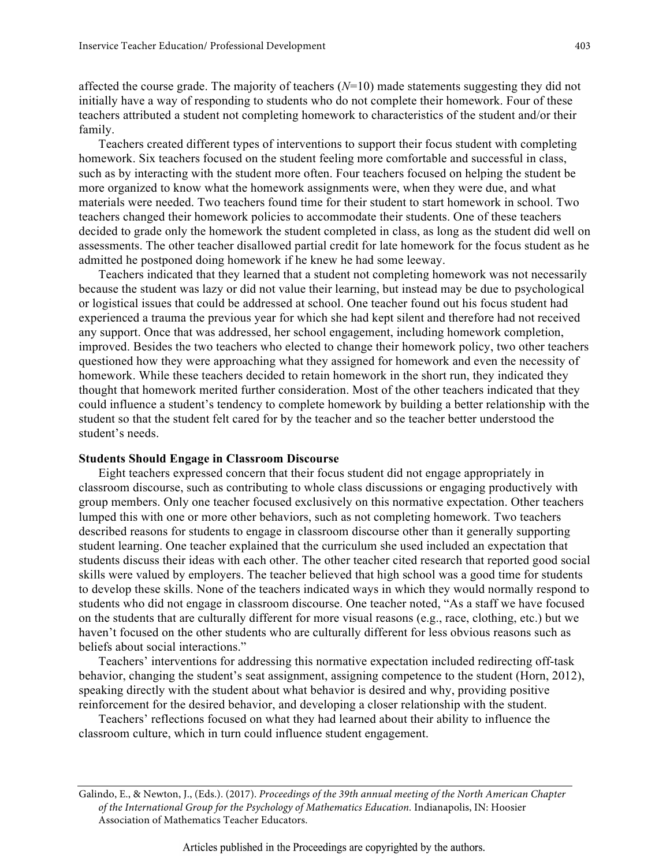affected the course grade. The majority of teachers (*N*=10) made statements suggesting they did not initially have a way of responding to students who do not complete their homework. Four of these teachers attributed a student not completing homework to characteristics of the student and/or their family.

Teachers created different types of interventions to support their focus student with completing homework. Six teachers focused on the student feeling more comfortable and successful in class, such as by interacting with the student more often. Four teachers focused on helping the student be more organized to know what the homework assignments were, when they were due, and what materials were needed. Two teachers found time for their student to start homework in school. Two teachers changed their homework policies to accommodate their students. One of these teachers decided to grade only the homework the student completed in class, as long as the student did well on assessments. The other teacher disallowed partial credit for late homework for the focus student as he admitted he postponed doing homework if he knew he had some leeway.

Teachers indicated that they learned that a student not completing homework was not necessarily because the student was lazy or did not value their learning, but instead may be due to psychological or logistical issues that could be addressed at school. One teacher found out his focus student had experienced a trauma the previous year for which she had kept silent and therefore had not received any support. Once that was addressed, her school engagement, including homework completion, improved. Besides the two teachers who elected to change their homework policy, two other teachers questioned how they were approaching what they assigned for homework and even the necessity of homework. While these teachers decided to retain homework in the short run, they indicated they thought that homework merited further consideration. Most of the other teachers indicated that they could influence a student's tendency to complete homework by building a better relationship with the student so that the student felt cared for by the teacher and so the teacher better understood the student's needs.

#### **Students Should Engage in Classroom Discourse**

Eight teachers expressed concern that their focus student did not engage appropriately in classroom discourse, such as contributing to whole class discussions or engaging productively with group members. Only one teacher focused exclusively on this normative expectation. Other teachers lumped this with one or more other behaviors, such as not completing homework. Two teachers described reasons for students to engage in classroom discourse other than it generally supporting student learning. One teacher explained that the curriculum she used included an expectation that students discuss their ideas with each other. The other teacher cited research that reported good social skills were valued by employers. The teacher believed that high school was a good time for students to develop these skills. None of the teachers indicated ways in which they would normally respond to students who did not engage in classroom discourse. One teacher noted, "As a staff we have focused on the students that are culturally different for more visual reasons (e.g., race, clothing, etc.) but we haven't focused on the other students who are culturally different for less obvious reasons such as beliefs about social interactions."

Teachers' interventions for addressing this normative expectation included redirecting off-task behavior, changing the student's seat assignment, assigning competence to the student (Horn, 2012), speaking directly with the student about what behavior is desired and why, providing positive reinforcement for the desired behavior, and developing a closer relationship with the student.

Teachers' reflections focused on what they had learned about their ability to influence the classroom culture, which in turn could influence student engagement.

Galindo, E., & Newton, J., (Eds.). (2017). *Proceedings of the 39th annual meeting of the North American Chapter of the International Group for the Psychology of Mathematics Education.* Indianapolis, IN: Hoosier Association of Mathematics Teacher Educators.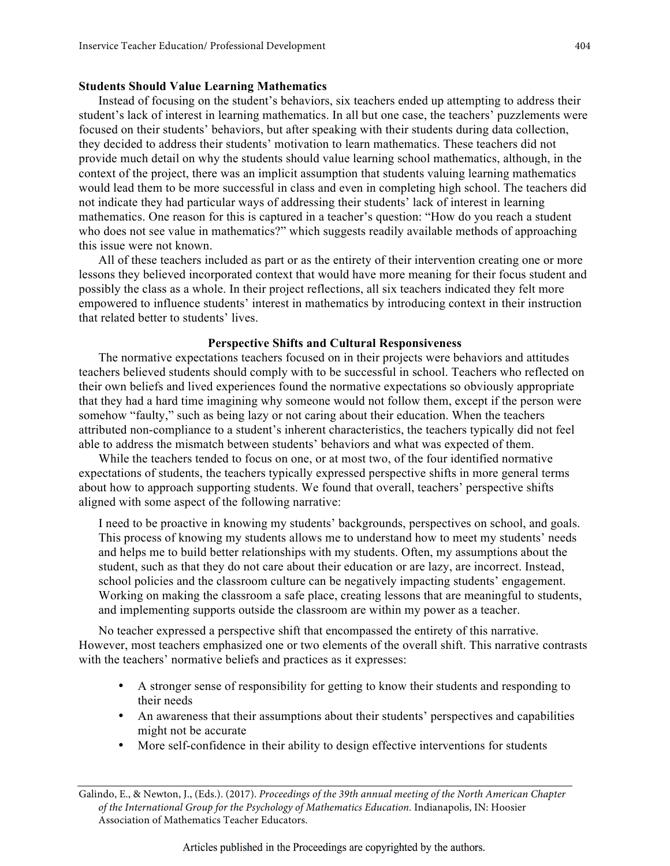### **Students Should Value Learning Mathematics**

Instead of focusing on the student's behaviors, six teachers ended up attempting to address their student's lack of interest in learning mathematics. In all but one case, the teachers' puzzlements were focused on their students' behaviors, but after speaking with their students during data collection, they decided to address their students' motivation to learn mathematics. These teachers did not provide much detail on why the students should value learning school mathematics, although, in the context of the project, there was an implicit assumption that students valuing learning mathematics would lead them to be more successful in class and even in completing high school. The teachers did not indicate they had particular ways of addressing their students' lack of interest in learning mathematics. One reason for this is captured in a teacher's question: "How do you reach a student who does not see value in mathematics?" which suggests readily available methods of approaching this issue were not known.

All of these teachers included as part or as the entirety of their intervention creating one or more lessons they believed incorporated context that would have more meaning for their focus student and possibly the class as a whole. In their project reflections, all six teachers indicated they felt more empowered to influence students' interest in mathematics by introducing context in their instruction that related better to students' lives.

### **Perspective Shifts and Cultural Responsiveness**

The normative expectations teachers focused on in their projects were behaviors and attitudes teachers believed students should comply with to be successful in school. Teachers who reflected on their own beliefs and lived experiences found the normative expectations so obviously appropriate that they had a hard time imagining why someone would not follow them, except if the person were somehow "faulty," such as being lazy or not caring about their education. When the teachers attributed non-compliance to a student's inherent characteristics, the teachers typically did not feel able to address the mismatch between students' behaviors and what was expected of them.

While the teachers tended to focus on one, or at most two, of the four identified normative expectations of students, the teachers typically expressed perspective shifts in more general terms about how to approach supporting students. We found that overall, teachers' perspective shifts aligned with some aspect of the following narrative:

I need to be proactive in knowing my students' backgrounds, perspectives on school, and goals. This process of knowing my students allows me to understand how to meet my students' needs and helps me to build better relationships with my students. Often, my assumptions about the student, such as that they do not care about their education or are lazy, are incorrect. Instead, school policies and the classroom culture can be negatively impacting students' engagement. Working on making the classroom a safe place, creating lessons that are meaningful to students, and implementing supports outside the classroom are within my power as a teacher.

No teacher expressed a perspective shift that encompassed the entirety of this narrative. However, most teachers emphasized one or two elements of the overall shift. This narrative contrasts with the teachers' normative beliefs and practices as it expresses:

- A stronger sense of responsibility for getting to know their students and responding to their needs
- An awareness that their assumptions about their students' perspectives and capabilities might not be accurate
- More self-confidence in their ability to design effective interventions for students

Galindo, E., & Newton, J., (Eds.). (2017). *Proceedings of the 39th annual meeting of the North American Chapter of the International Group for the Psychology of Mathematics Education.* Indianapolis, IN: Hoosier Association of Mathematics Teacher Educators.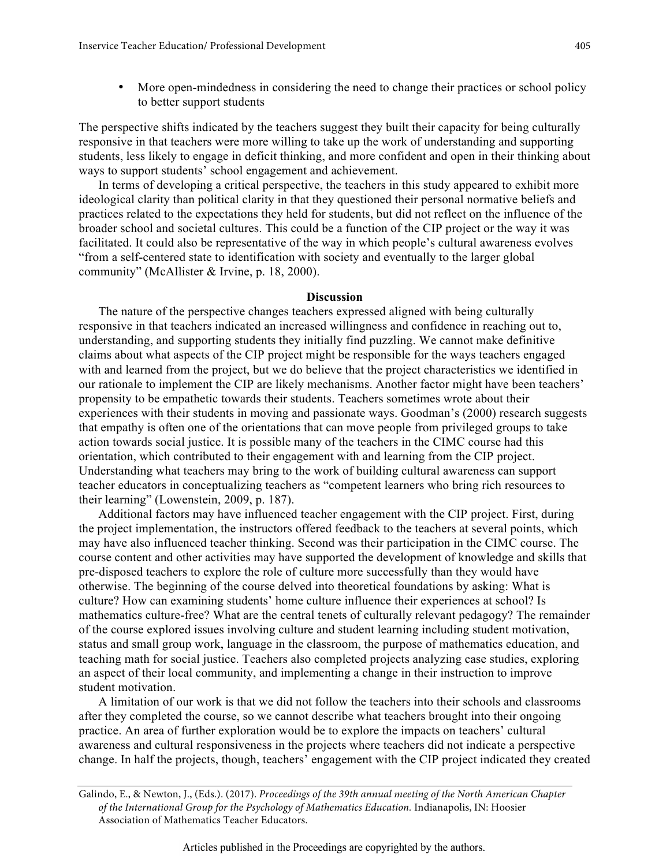• More open-mindedness in considering the need to change their practices or school policy to better support students

The perspective shifts indicated by the teachers suggest they built their capacity for being culturally responsive in that teachers were more willing to take up the work of understanding and supporting students, less likely to engage in deficit thinking, and more confident and open in their thinking about ways to support students' school engagement and achievement.

In terms of developing a critical perspective, the teachers in this study appeared to exhibit more ideological clarity than political clarity in that they questioned their personal normative beliefs and practices related to the expectations they held for students, but did not reflect on the influence of the broader school and societal cultures. This could be a function of the CIP project or the way it was facilitated. It could also be representative of the way in which people's cultural awareness evolves "from a self-centered state to identification with society and eventually to the larger global community" (McAllister & Irvine, p. 18, 2000).

### **Discussion**

The nature of the perspective changes teachers expressed aligned with being culturally responsive in that teachers indicated an increased willingness and confidence in reaching out to, understanding, and supporting students they initially find puzzling. We cannot make definitive claims about what aspects of the CIP project might be responsible for the ways teachers engaged with and learned from the project, but we do believe that the project characteristics we identified in our rationale to implement the CIP are likely mechanisms. Another factor might have been teachers' propensity to be empathetic towards their students. Teachers sometimes wrote about their experiences with their students in moving and passionate ways. Goodman's (2000) research suggests that empathy is often one of the orientations that can move people from privileged groups to take action towards social justice. It is possible many of the teachers in the CIMC course had this orientation, which contributed to their engagement with and learning from the CIP project. Understanding what teachers may bring to the work of building cultural awareness can support teacher educators in conceptualizing teachers as "competent learners who bring rich resources to their learning" (Lowenstein, 2009, p. 187).

Additional factors may have influenced teacher engagement with the CIP project. First, during the project implementation, the instructors offered feedback to the teachers at several points, which may have also influenced teacher thinking. Second was their participation in the CIMC course. The course content and other activities may have supported the development of knowledge and skills that pre-disposed teachers to explore the role of culture more successfully than they would have otherwise. The beginning of the course delved into theoretical foundations by asking: What is culture? How can examining students' home culture influence their experiences at school? Is mathematics culture-free? What are the central tenets of culturally relevant pedagogy? The remainder of the course explored issues involving culture and student learning including student motivation, status and small group work, language in the classroom, the purpose of mathematics education, and teaching math for social justice. Teachers also completed projects analyzing case studies, exploring an aspect of their local community, and implementing a change in their instruction to improve student motivation.

A limitation of our work is that we did not follow the teachers into their schools and classrooms after they completed the course, so we cannot describe what teachers brought into their ongoing practice. An area of further exploration would be to explore the impacts on teachers' cultural awareness and cultural responsiveness in the projects where teachers did not indicate a perspective change. In half the projects, though, teachers' engagement with the CIP project indicated they created

Articles published in the Proceedings are copyrighted by the authors.

Galindo, E., & Newton, J., (Eds.). (2017). *Proceedings of the 39th annual meeting of the North American Chapter of the International Group for the Psychology of Mathematics Education.* Indianapolis, IN: Hoosier Association of Mathematics Teacher Educators.